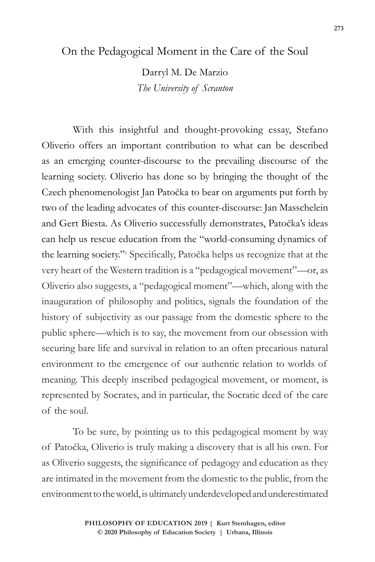## On the Pedagogical Moment in the Care of the Soul

Darryl M. De Marzio *The University of Scranton*

With this insightful and thought-provoking essay, Stefano Oliverio offers an important contribution to what can be described as an emerging counter-discourse to the prevailing discourse of the learning society. Oliverio has done so by bringing the thought of the Czech phenomenologist Jan Patočka to bear on arguments put forth by two of the leading advocates of this counter-discourse: Jan Masschelein and Gert Biesta. As Oliverio successfully demonstrates, Patočka's ideas can help us rescue education from the "world-consuming dynamics of the learning society."1 Specifically, Patočka helps us recognize that at the very heart of the Western tradition is a "pedagogical movement"—or, as Oliverio also suggests, a "pedagogical moment"—which, along with the inauguration of philosophy and politics, signals the foundation of the history of subjectivity as our passage from the domestic sphere to the public sphere—which is to say, the movement from our obsession with securing bare life and survival in relation to an often precarious natural environment to the emergence of our authentic relation to worlds of meaning. This deeply inscribed pedagogical movement, or moment, is represented by Socrates, and in particular, the Socratic deed of the care of the soul.

To be sure, by pointing us to this pedagogical moment by way of Patočka, Oliverio is truly making a discovery that is all his own. For as Oliverio suggests, the significance of pedagogy and education as they are intimated in the movement from the domestic to the public, from the environment to the world, is ultimately underdeveloped and underestimated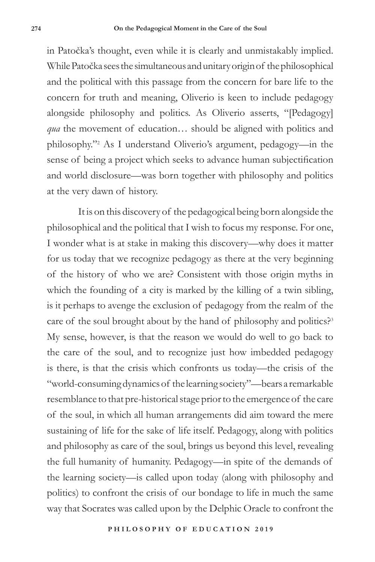in Patočka's thought, even while it is clearly and unmistakably implied. While Patočka sees the simultaneous and unitary origin of the philosophical and the political with this passage from the concern for bare life to the concern for truth and meaning, Oliverio is keen to include pedagogy alongside philosophy and politics. As Oliverio asserts, "[Pedagogy] *qua* the movement of education... should be aligned with politics and philosophy."2 As I understand Oliverio's argument, pedagogy—in the sense of being a project which seeks to advance human subjectification and world disclosure—was born together with philosophy and politics at the very dawn of history.

It is on this discovery of the pedagogical being born alongside the philosophical and the political that I wish to focus my response. For one, I wonder what is at stake in making this discovery—why does it matter for us today that we recognize pedagogy as there at the very beginning of the history of who we are? Consistent with those origin myths in which the founding of a city is marked by the killing of a twin sibling, is it perhaps to avenge the exclusion of pedagogy from the realm of the care of the soul brought about by the hand of philosophy and politics?<sup>3</sup> My sense, however, is that the reason we would do well to go back to the care of the soul, and to recognize just how imbedded pedagogy is there, is that the crisis which confronts us today—the crisis of the "world-consuming dynamics of the learning society"—bears a remarkable resemblance to that pre-historical stage prior to the emergence of the care of the soul, in which all human arrangements did aim toward the mere sustaining of life for the sake of life itself. Pedagogy, along with politics and philosophy as care of the soul, brings us beyond this level, revealing the full humanity of humanity. Pedagogy—in spite of the demands of the learning society—is called upon today (along with philosophy and politics) to confront the crisis of our bondage to life in much the same way that Socrates was called upon by the Delphic Oracle to confront the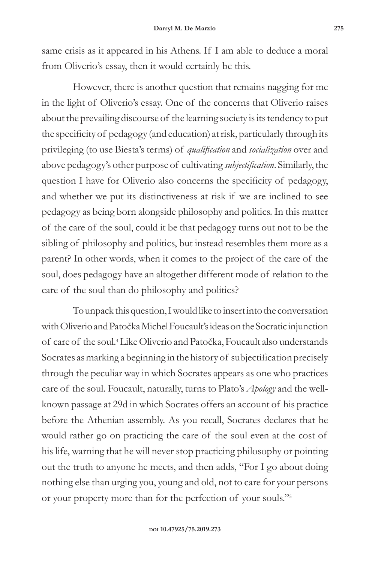same crisis as it appeared in his Athens. If I am able to deduce a moral from Oliverio's essay, then it would certainly be this.

However, there is another question that remains nagging for me in the light of Oliverio's essay. One of the concerns that Oliverio raises about the prevailing discourse of the learning society is its tendency to put the specificity of pedagogy (and education) at risk, particularly through its privileging (to use Biesta's terms) of *qualification* and *socialization* over and above pedagogy's other purpose of cultivating *subjectification*. Similarly, the question I have for Oliverio also concerns the specificity of pedagogy, and whether we put its distinctiveness at risk if we are inclined to see pedagogy as being born alongside philosophy and politics. In this matter of the care of the soul, could it be that pedagogy turns out not to be the sibling of philosophy and politics, but instead resembles them more as a parent? In other words, when it comes to the project of the care of the soul, does pedagogy have an altogether different mode of relation to the care of the soul than do philosophy and politics?

To unpack this question, I would like to insert into the conversation with Oliverio and Patočka Michel Foucault's ideas on the Socratic injunction of care of the soul.4 Like Oliverio and Patočka, Foucault also understands Socrates as marking a beginning in the history of subjectification precisely through the peculiar way in which Socrates appears as one who practices care of the soul. Foucault, naturally, turns to Plato's *Apology* and the wellknown passage at 29d in which Socrates offers an account of his practice before the Athenian assembly. As you recall, Socrates declares that he would rather go on practicing the care of the soul even at the cost of his life, warning that he will never stop practicing philosophy or pointing out the truth to anyone he meets, and then adds, "For I go about doing nothing else than urging you, young and old, not to care for your persons or your property more than for the perfection of your souls."5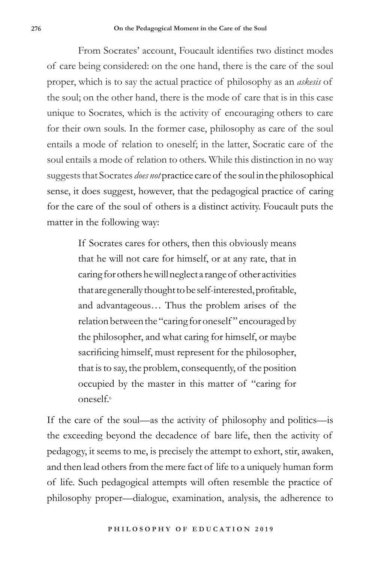From Socrates' account, Foucault identifies two distinct modes of care being considered: on the one hand, there is the care of the soul proper, which is to say the actual practice of philosophy as an *askesis* of the soul; on the other hand, there is the mode of care that is in this case unique to Socrates, which is the activity of encouraging others to care for their own souls. In the former case, philosophy as care of the soul entails a mode of relation to oneself; in the latter, Socratic care of the soul entails a mode of relation to others. While this distinction in no way suggests that Socrates *does not* practice care of the soul in the philosophical sense, it does suggest, however, that the pedagogical practice of caring for the care of the soul of others is a distinct activity. Foucault puts the matter in the following way:

> If Socrates cares for others, then this obviously means that he will not care for himself, or at any rate, that in caring for others he will neglect a range of other activities that are generally thought to be self-interested, profitable, and advantageous… Thus the problem arises of the relation between the "caring for oneself " encouraged by the philosopher, and what caring for himself, or maybe sacrificing himself, must represent for the philosopher, that is to say, the problem, consequently, of the position occupied by the master in this matter of "caring for  $oneself<sup>6</sup>$

If the care of the soul—as the activity of philosophy and politics—is the exceeding beyond the decadence of bare life, then the activity of pedagogy, it seems to me, is precisely the attempt to exhort, stir, awaken, and then lead others from the mere fact of life to a uniquely human form of life. Such pedagogical attempts will often resemble the practice of philosophy proper—dialogue, examination, analysis, the adherence to